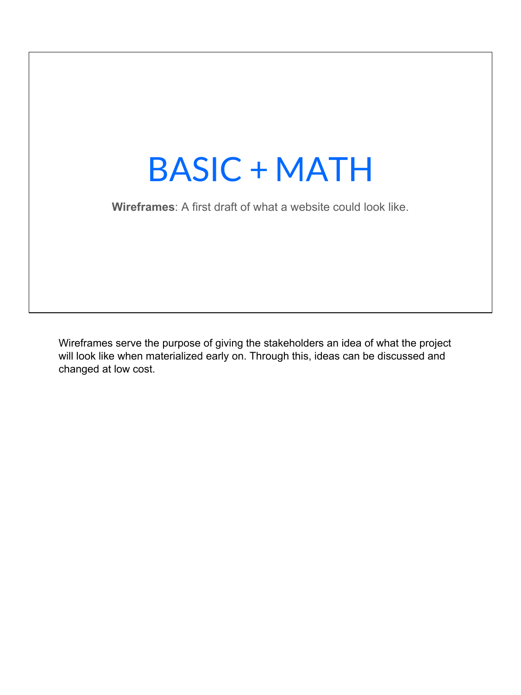

Wireframes serve the purpose of giving the stakeholders an idea of what the project will look like when materialized early on. Through this, ideas can be discussed and changed at low cost.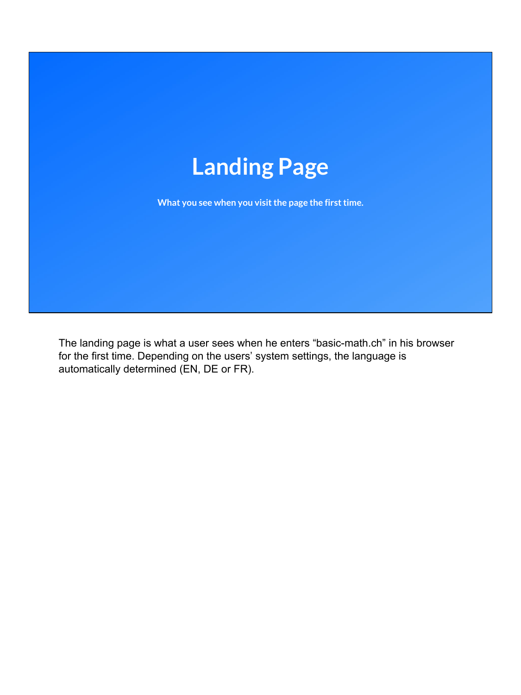

**What you see when you visit the page the first time.**

The landing page is what a user sees when he enters "basic-math.ch" in his browser for the first time. Depending on the users' system settings, the language is automatically determined (EN, DE or FR).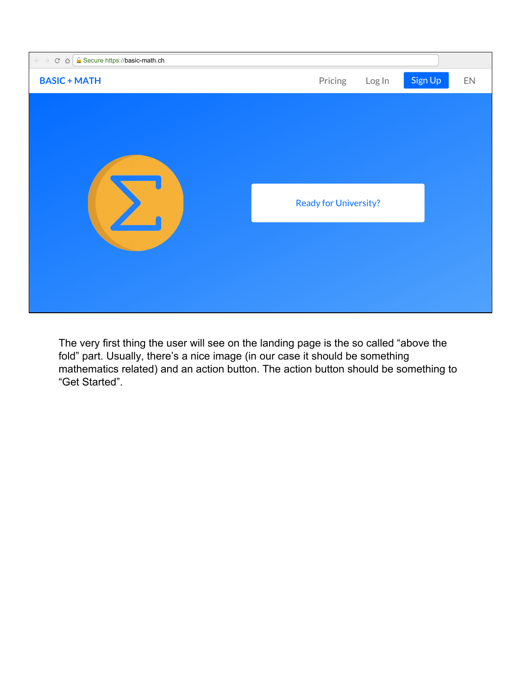

The very first thing the user will see on the landing page is the so called "above the fold" part. Usually, there's a nice image (in our case it should be something mathematics related) and an action button. The action button should be something to "Get Started".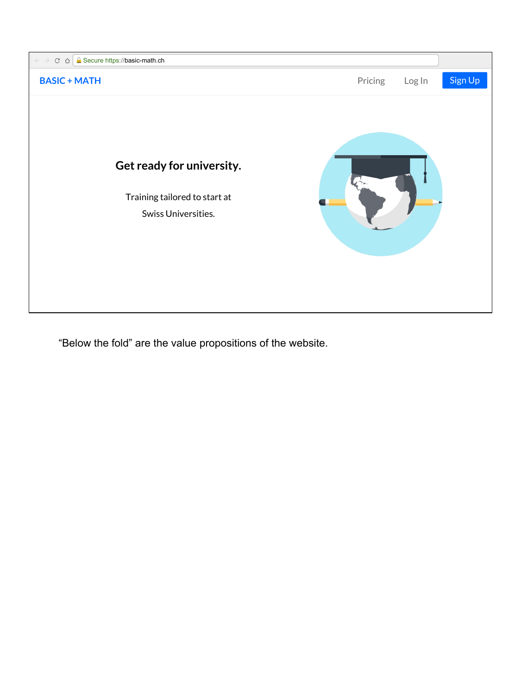

"Below the fold" are the value propositions of the website.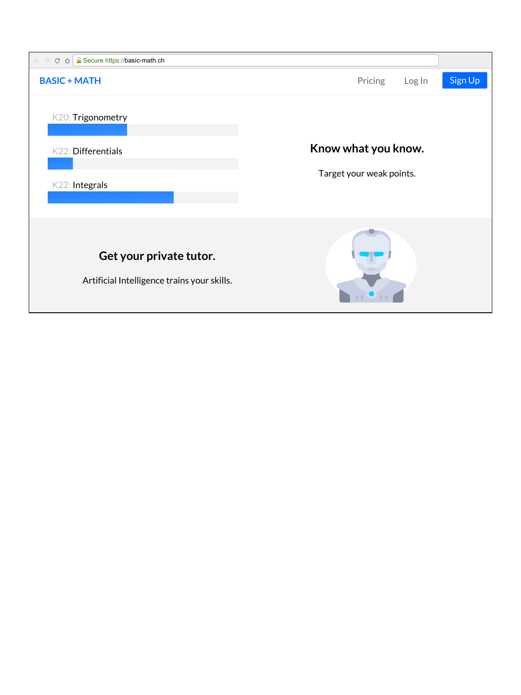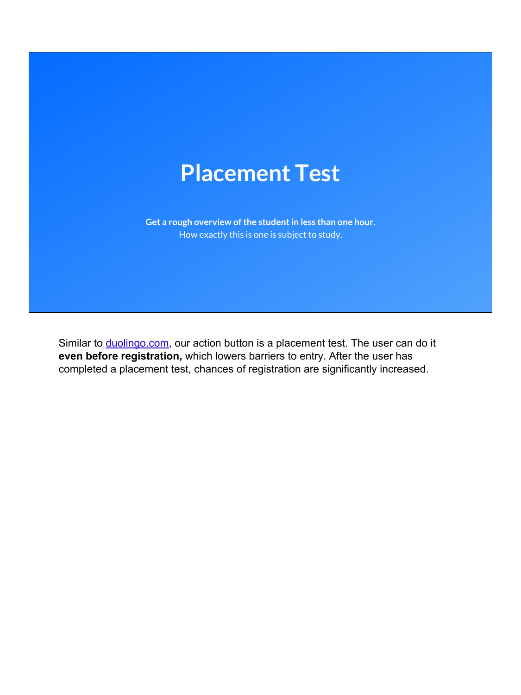## **Placement Test**

**Get a rough overview of the student in less than one hour.** How exactly this is one is subject to study.

Similar to [duolingo.com,](http://duolingo.com) our action button is a placement test. The user can do it **even before registration,** which lowers barriers to entry. After the user has completed a placement test, chances of registration are significantly increased.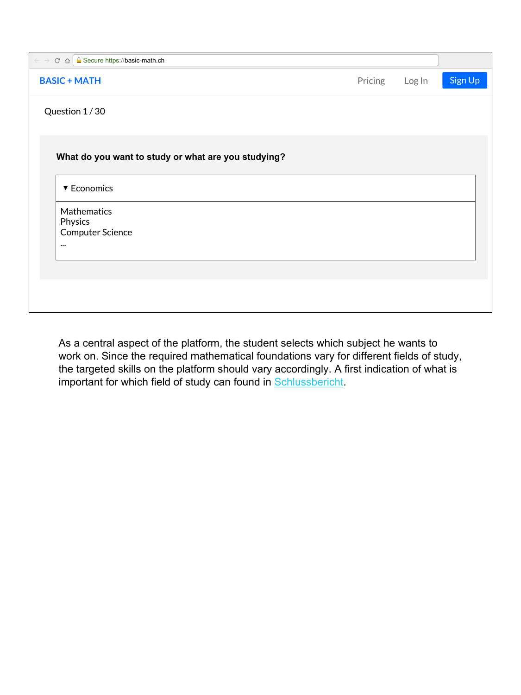| $\epsilon \rightarrow c \cdot \hat{\Omega}$ & Secure https://basic-math.ch |         |        |         |
|----------------------------------------------------------------------------|---------|--------|---------|
| <b>BASIC + MATH</b>                                                        | Pricing | Log In | Sign Up |
| Question 1/30                                                              |         |        |         |
|                                                                            |         |        |         |
|                                                                            |         |        |         |
| What do you want to study or what are you studying?                        |         |        |         |
| ▼ Economics                                                                |         |        |         |
| Mathematics                                                                |         |        |         |
| Physics                                                                    |         |        |         |
| Computer Science                                                           |         |        |         |
| $\cdots$                                                                   |         |        |         |
|                                                                            |         |        |         |
|                                                                            |         |        |         |
|                                                                            |         |        |         |
|                                                                            |         |        |         |

As a central aspect of the platform, the student selects which subject he wants to work on. Since the required mathematical foundations vary for different fields of study, the targeted skills on the platform should vary accordingly. A first indication of what is important for which field of study can found in **Schlussbericht**.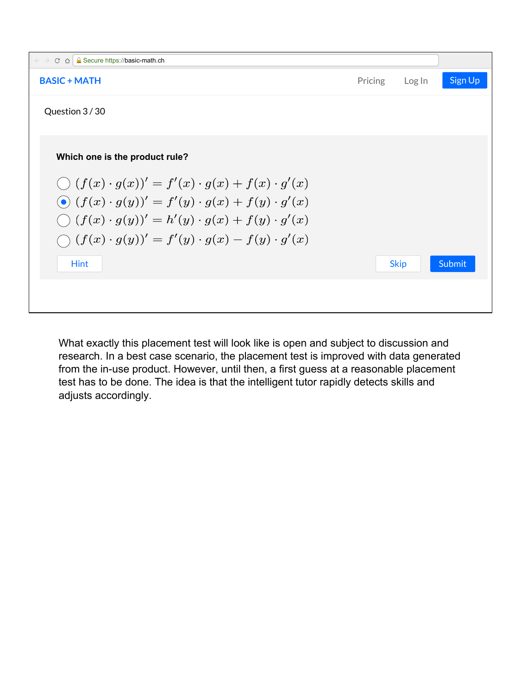

What exactly this placement test will look like is open and subject to discussion and research. In a best case scenario, the placement test is improved with data generated from the in-use product. However, until then, a first guess at a reasonable placement test has to be done. The idea is that the intelligent tutor rapidly detects skills and adjusts accordingly.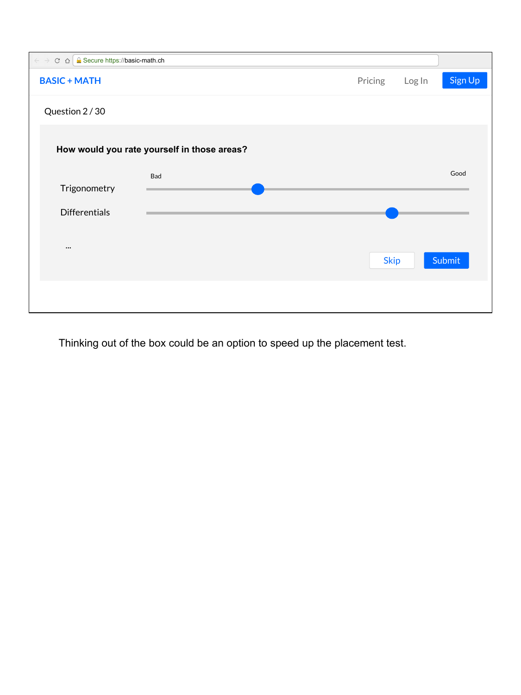

Thinking out of the box could be an option to speed up the placement test.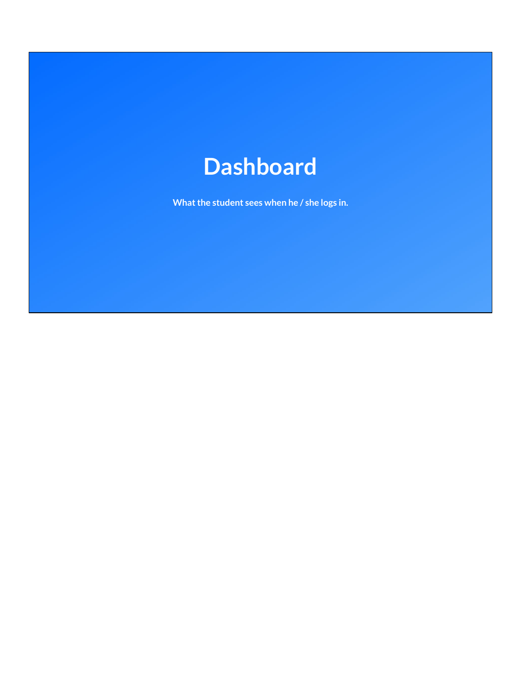## **Dashboard**

**What the student sees when he / she logs in.**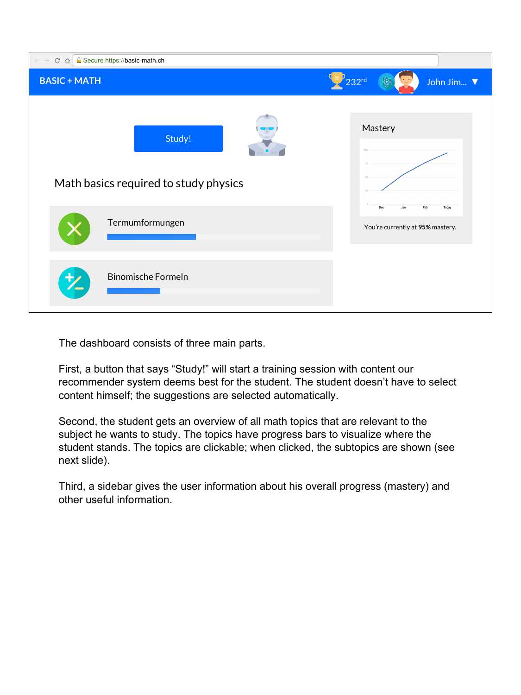| <b>R</b> Secure https://basic-math.ch<br>$\leftarrow$ $\rightarrow$<br>$C \triangle$ |                                                                           |
|--------------------------------------------------------------------------------------|---------------------------------------------------------------------------|
| <b>BASIC + MATH</b>                                                                  | 232 <sup>rd</sup><br>John Jim ▼                                           |
| Study!<br>Math basics required to study physics<br>Termumformungen                   | Mastery<br>Feb<br>Dec<br>Jan<br>Today<br>You're currently at 95% mastery. |
| <b>Binomische Formeln</b>                                                            |                                                                           |

The dashboard consists of three main parts.

First, a button that says "Study!" will start a training session with content our recommender system deems best for the student. The student doesn't have to select content himself; the suggestions are selected automatically.

Second, the student gets an overview of all math topics that are relevant to the subject he wants to study. The topics have progress bars to visualize where the student stands. The topics are clickable; when clicked, the subtopics are shown (see next slide).

Third, a sidebar gives the user information about his overall progress (mastery) and other useful information.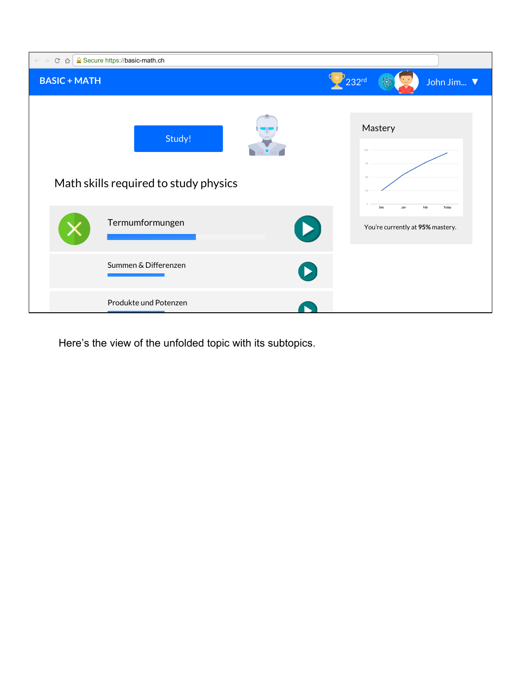

Here's the view of the unfolded topic with its subtopics.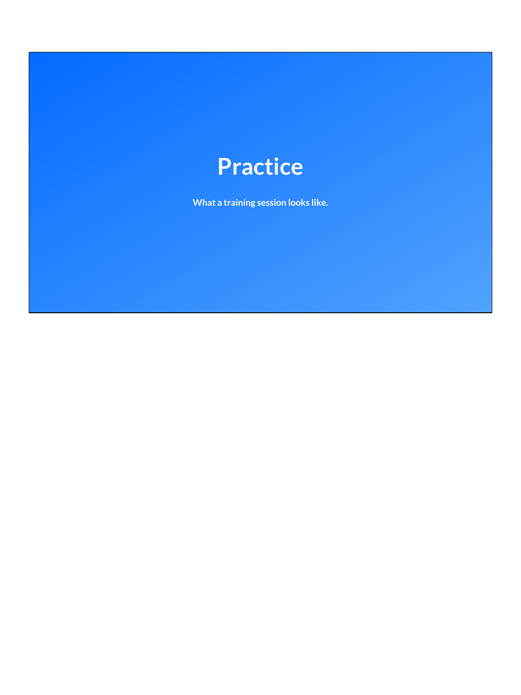## **Practice**

**What a training session looks like.**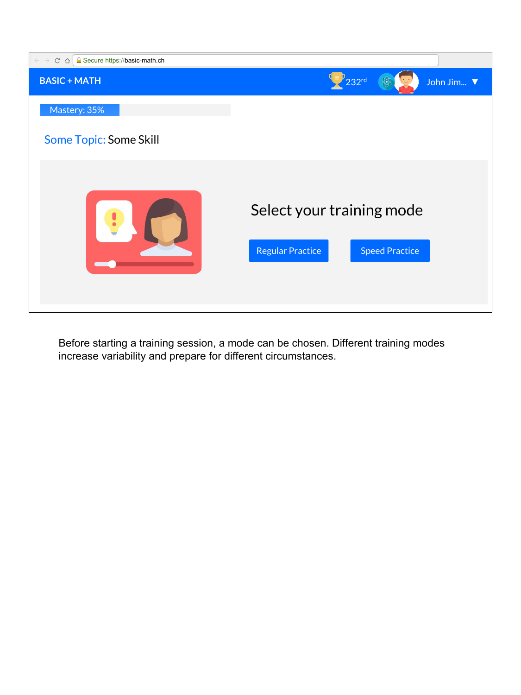

Before starting a training session, a mode can be chosen. Different training modes increase variability and prepare for different circumstances.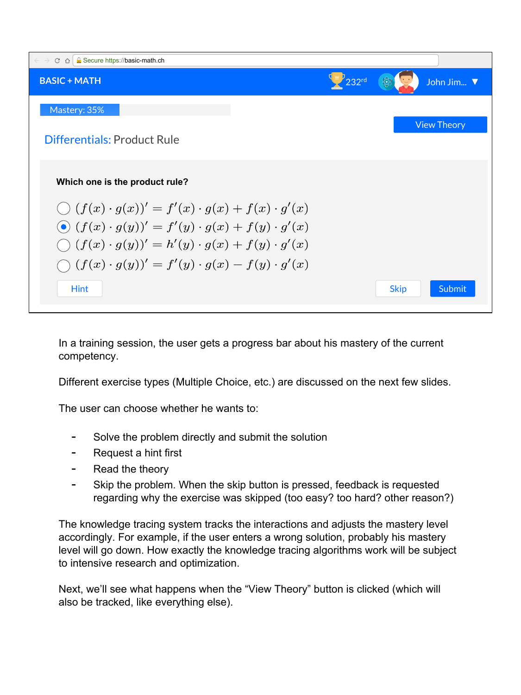

In a training session, the user gets a progress bar about his mastery of the current competency.

Different exercise types (Multiple Choice, etc.) are discussed on the next few slides.

The user can choose whether he wants to:

- Solve the problem directly and submit the solution
- Request a hint first
- Read the theory
- Skip the problem. When the skip button is pressed, feedback is requested regarding why the exercise was skipped (too easy? too hard? other reason?)

The knowledge tracing system tracks the interactions and adjusts the mastery level accordingly. For example, if the user enters a wrong solution, probably his mastery level will go down. How exactly the knowledge tracing algorithms work will be subject to intensive research and optimization.

Next, we'll see what happens when the "View Theory" button is clicked (which will also be tracked, like everything else).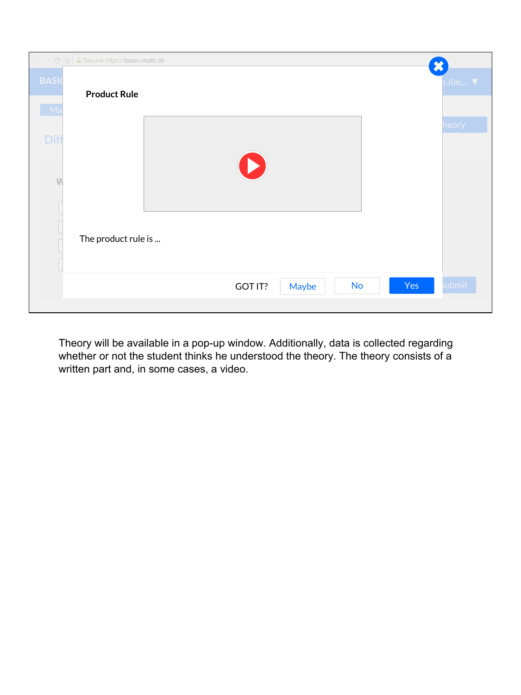|                               | $\overline{\phantom{a}}$ Jim $\overline{\phantom{a}}$                                                                                        |
|-------------------------------|----------------------------------------------------------------------------------------------------------------------------------------------|
|                               |                                                                                                                                              |
|                               | heory                                                                                                                                        |
|                               |                                                                                                                                              |
|                               |                                                                                                                                              |
|                               |                                                                                                                                              |
|                               |                                                                                                                                              |
|                               |                                                                                                                                              |
| Yes<br>No<br>GOT IT?<br>Maybe | <i>i</i> ubmit                                                                                                                               |
|                               | $C \cap \bigcap$ <b>A</b> Secure https://basic-math.ch<br>$\overline{\mathbf{x}}$<br><b>Product Rule</b><br>$\bullet$<br>The product rule is |

Theory will be available in a pop-up window. Additionally, data is collected regarding whether or not the student thinks he understood the theory. The theory consists of a written part and, in some cases, a video.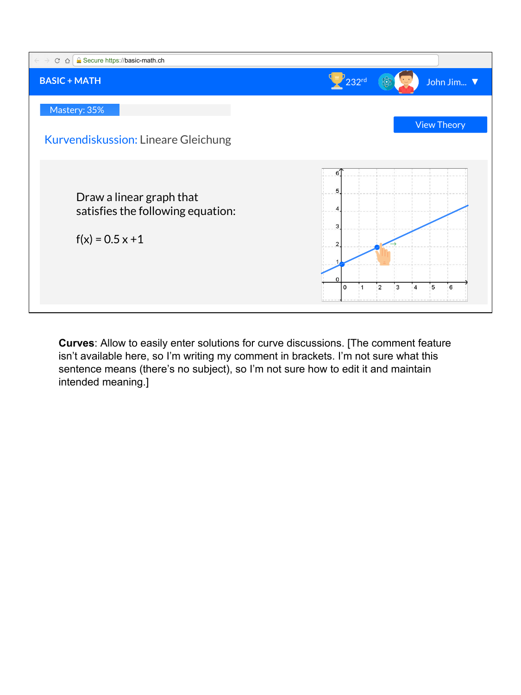

**Curves**: Allow to easily enter solutions for curve discussions. [The comment feature isn't available here, so I'm writing my comment in brackets. I'm not sure what this sentence means (there's no subject), so I'm not sure how to edit it and maintain intended meaning.]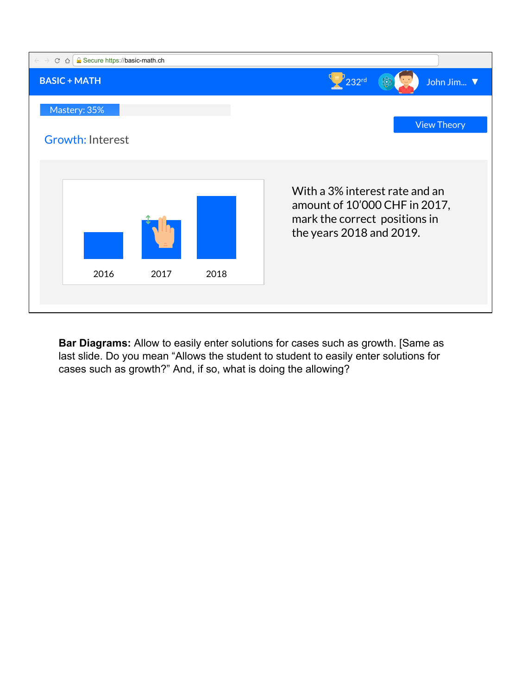

**Bar Diagrams:** Allow to easily enter solutions for cases such as growth. [Same as last slide. Do you mean "Allows the student to student to easily enter solutions for cases such as growth?" And, if so, what is doing the allowing?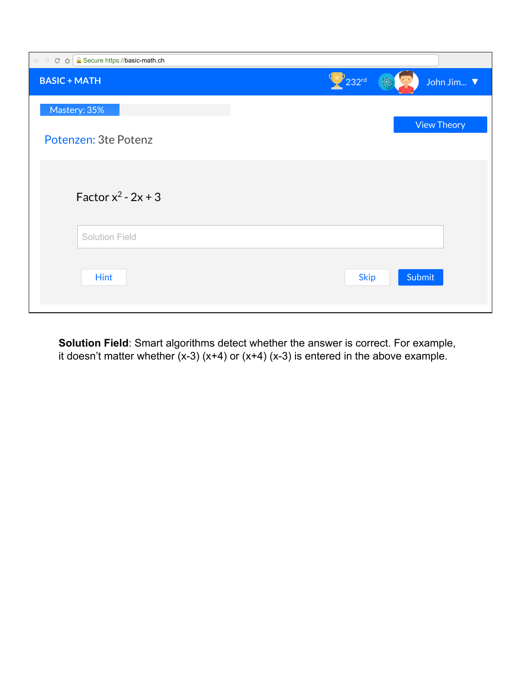| $\epsilon \rightarrow c \cdot \Delta$ <b>e</b> Secure https://basic-math.ch |                                  |
|-----------------------------------------------------------------------------|----------------------------------|
| <b>BASIC + MATH</b>                                                         | $\mathbb{Z}$ 232rd<br>John Jim ▼ |
| Mastery: 35%                                                                |                                  |
| Potenzen: 3te Potenz                                                        | <b>View Theory</b>               |
| Factor $x^2$ - 2x + 3                                                       |                                  |
| Solution Field                                                              |                                  |
| <b>Hint</b>                                                                 | Submit<br><b>Skip</b>            |

**Solution Field**: Smart algorithms detect whether the answer is correct. For example, it doesn't matter whether  $(x-3)(x+4)$  or  $(x+4)(x-3)$  is entered in the above example.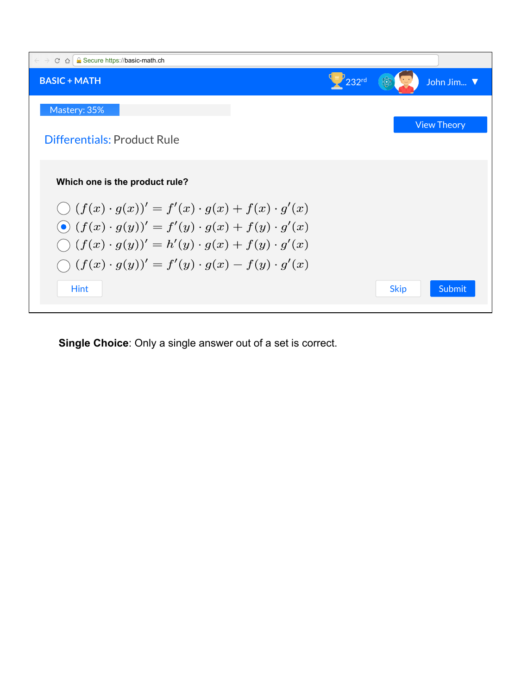

**Single Choice**: Only a single answer out of a set is correct.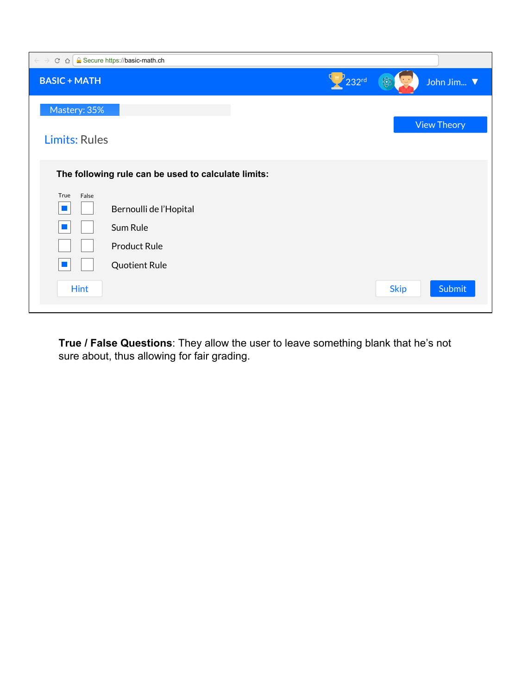| <b>R</b> Secure https://basic-math.ch<br>$\leftarrow$ $\rightarrow$<br>$C$ $\Omega$                                     |                            |
|-------------------------------------------------------------------------------------------------------------------------|----------------------------|
| <b>BASIC + MATH</b>                                                                                                     | $P_{232}$ rd<br>John Jim ▼ |
| Mastery: 35%                                                                                                            |                            |
| <b>Limits: Rules</b>                                                                                                    | <b>View Theory</b>         |
| The following rule can be used to calculate limits:                                                                     |                            |
| True<br>False<br>Bernoulli de l'Hopital<br>T.<br>Sum Rule<br><b>Product Rule</b><br><b>Quotient Rule</b><br><b>Hint</b> | Submit<br><b>Skip</b>      |
|                                                                                                                         |                            |

**True / False Questions**: They allow the user to leave something blank that he's not sure about, thus allowing for fair grading.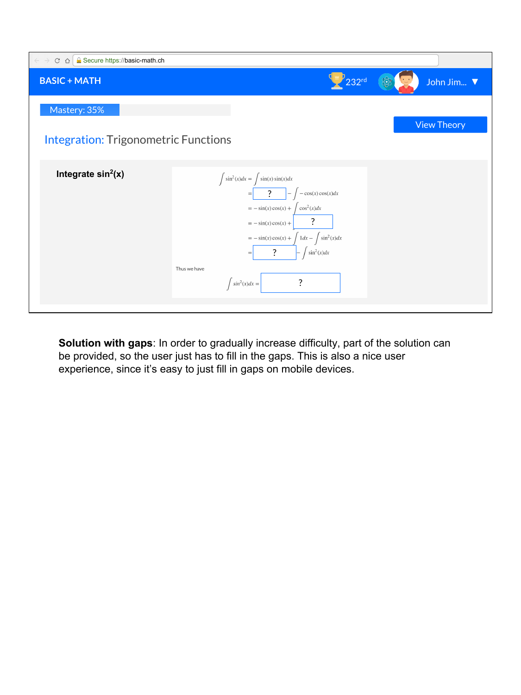| <b>A</b> Secure https://basic-math.ch<br>$C \Omega$<br>$\leftarrow$ $\rightarrow$ |                                                                                                                                                                                                                                                                                                                                  |                    |
|-----------------------------------------------------------------------------------|----------------------------------------------------------------------------------------------------------------------------------------------------------------------------------------------------------------------------------------------------------------------------------------------------------------------------------|--------------------|
| <b>BASIC + MATH</b>                                                               | $v_{232^{\text{rd}}}$                                                                                                                                                                                                                                                                                                            | John Jim ▼         |
| Mastery: 35%                                                                      |                                                                                                                                                                                                                                                                                                                                  | <b>View Theory</b> |
| <b>Integration: Trigonometric Functions</b>                                       |                                                                                                                                                                                                                                                                                                                                  |                    |
| Integrate $sin2(x)$                                                               | $\int \sin^2(x) dx = \int \sin(x) \sin(x) dx$<br>$-\cos(x)\cos(x)dx$<br>$\overline{?}$<br>$\cos^2(x)dx$<br>$= -\sin(x)\cos(x) +$<br>$= -\sin(x)\cos(x) +$<br>$= -\sin(x)\cos(x) + \int 1 dx - \int \sin^2(x) dx$<br>$\sin^2(x)dx$<br>$\ddot{?}$<br>$\hspace{1.6cm} = \hspace{1.6cm}$<br>Thus we have<br>?<br>$\int sin^2(x)dx =$ |                    |

**Solution with gaps**: In order to gradually increase difficulty, part of the solution can be provided, so the user just has to fill in the gaps. This is also a nice user experience, since it's easy to just fill in gaps on mobile devices.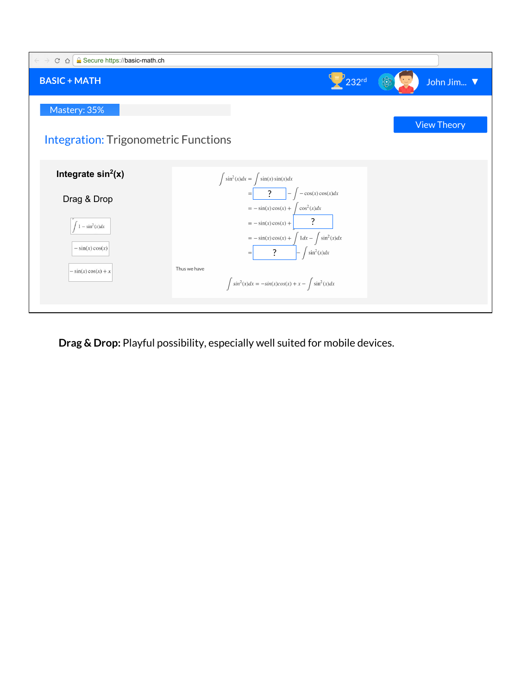| <b>A</b> Secure https://basic-math.ch<br>$\leftarrow$ $\rightarrow$<br>$C \Omega$ |                                                                                                                    |                    |  |
|-----------------------------------------------------------------------------------|--------------------------------------------------------------------------------------------------------------------|--------------------|--|
| <b>BASIC + MATH</b>                                                               | $P_{232}$ rd                                                                                                       | John Jim ▼         |  |
| Mastery: 35%                                                                      |                                                                                                                    | <b>View Theory</b> |  |
| <b>Integration: Trigonometric Functions</b>                                       |                                                                                                                    |                    |  |
| Integrate $sin2(x)$                                                               | $\int \sin^2(x) dx = \int \sin(x) \sin(x) dx$                                                                      |                    |  |
| Drag & Drop                                                                       | $\ddot{?}$<br>$-\cos(x)\cos(x)dx$<br>$\qquad \qquad =$<br>$\cos^2(x)dx$<br>$= -\sin(x)\cos(x) +$                   |                    |  |
| $1 - \sin^2(x)dx$<br>$-\sin(x)\cos(x)$                                            | $= -\sin(x)\cos(x) +$<br>$= -\sin(x)\cos(x) + \int 1 dx - \int \sin^2(x) dx$<br>$\sin^2(x)dx$<br>$\ddot{?}$<br>$=$ |                    |  |
| $-\sin(x)\cos(x) + x$                                                             | Thus we have<br>$\int \sin^2(x)dx = -\sin(x)\cos(x) + x - \int \sin^2(x)dx$                                        |                    |  |

**Drag & Drop:** Playful possibility, especially well suited for mobile devices.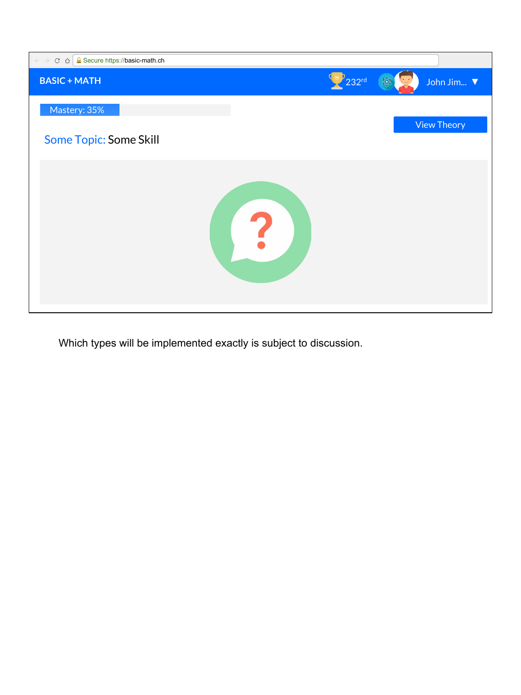

Which types will be implemented exactly is subject to discussion.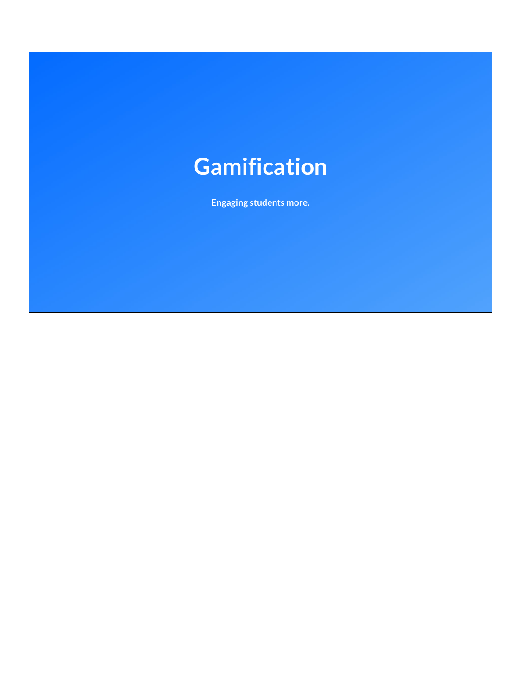## **Gamification**

**Engaging students more.**